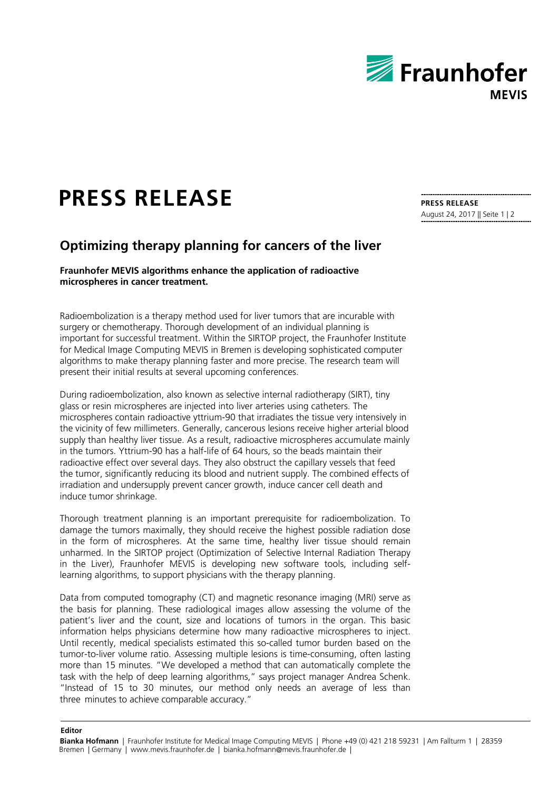

## **PRESS RELEASE**

**Editor**

## **Optimizing therapy planning for cancers of the liver**

**Fraunhofer MEVIS algorithms enhance the application of radioactive microspheres in cancer treatment.**

Radioembolization is a therapy method used for liver tumors that are incurable with surgery or chemotherapy. Thorough development of an individual planning is important for successful treatment. Within the SIRTOP project, the Fraunhofer Institute for Medical Image Computing MEVIS in Bremen is developing sophisticated computer algorithms to make therapy planning faster and more precise. The research team will present their initial results at several upcoming conferences.

During radioembolization, also known as selective internal radiotherapy (SIRT), tiny glass or resin microspheres are injected into liver arteries using catheters. The microspheres contain radioactive yttrium-90 that irradiates the tissue very intensively in the vicinity of few millimeters. Generally, cancerous lesions receive higher arterial blood supply than healthy liver tissue. As a result, radioactive microspheres accumulate mainly in the tumors. Yttrium-90 has a half-life of 64 hours, so the beads maintain their radioactive effect over several days. They also obstruct the capillary vessels that feed the tumor, significantly reducing its blood and nutrient supply. The combined effects of irradiation and undersupply prevent cancer growth, induce cancer cell death and induce tumor shrinkage.

Thorough treatment planning is an important prerequisite for radioembolization. To damage the tumors maximally, they should receive the highest possible radiation dose in the form of microspheres. At the same time, healthy liver tissue should remain unharmed. In the SIRTOP project (Optimization of Selective Internal Radiation Therapy in the Liver), Fraunhofer MEVIS is developing new software tools, including selflearning algorithms, to support physicians with the therapy planning.

Data from computed tomography (CT) and magnetic resonance imaging (MRI) serve as the basis for planning. These radiological images allow assessing the volume of the patient's liver and the count, size and locations of tumors in the organ. This basic information helps physicians determine how many radioactive microspheres to inject. Until recently, medical specialists estimated this so-called tumor burden based on the tumor-to-liver volume ratio. Assessing multiple lesions is time-consuming, often lasting more than 15 minutes. "We developed a method that can automatically complete the task with the help of deep learning algorithms," says project manager Andrea Schenk. "Instead of 15 to 30 minutes, our method only needs an average of less than three minutes to achieve comparable accuracy."

**PRESS RELEASE** August 24, 2017 || Seite 1 | 2